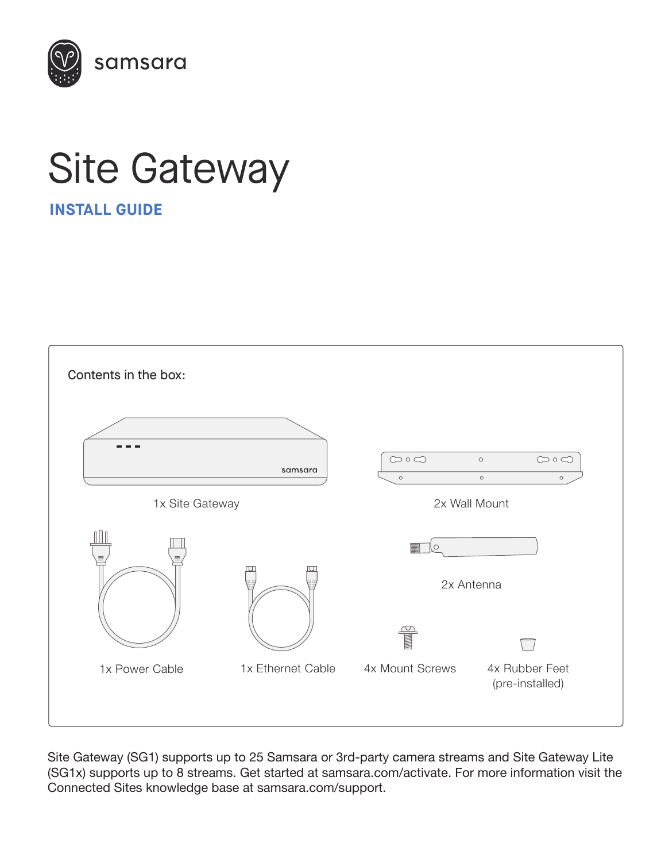

# Site Gateway

**INSTALL GUIDE**



Site Gateway (SG1) supports up to 25 Samsara or 3rd-party camera streams and Site Gateway Lite (SG1x) supports up to 8 streams. Get started at samsara.com/activate. For more information visit the Connected Sites knowledge base at samsara.com/support.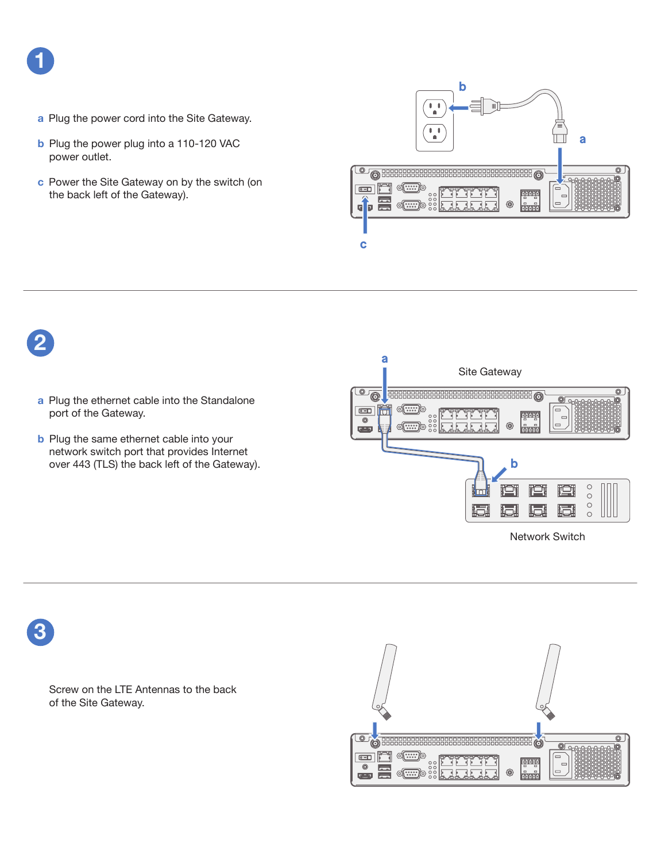

- **a** Plug the power cord into the Site Gateway.
- **b** Plug the power plug into a 110-120 VAC power outlet.
- **c** Power the Site Gateway on by the switch (on the back left of the Gateway).





**3**

Screw on the LTE Antennas to the back of the Site Gateway.

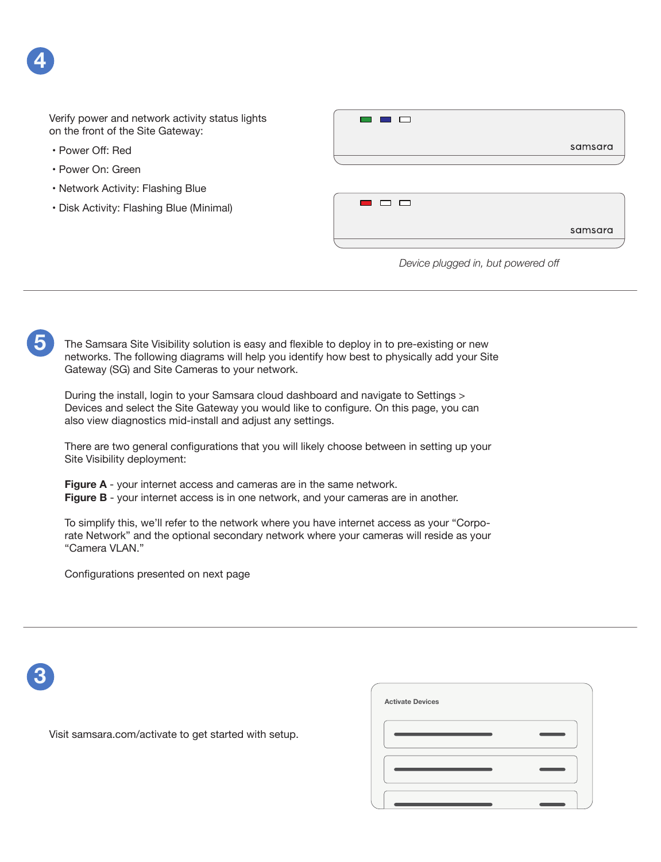• Power Off: Red

**4**

**5**

- Power On: Green
- Network Activity: Flashing Blue
- Disk Activity: Flashing Blue (Minimal)



#### *Device plugged in, but powered off*

samsara

The Samsara Site Visibility solution is easy and flexible to deploy in to pre-existing or new networks. The following diagrams will help you identify how best to physically add your Site Gateway (SG) and Site Cameras to your network.

During the install, login to your Samsara cloud dashboard and navigate to Settings > Devices and select the Site Gateway you would like to configure. On this page, you can also view diagnostics mid-install and adjust any settings.

There are two general configurations that you will likely choose between in setting up your Site Visibility deployment:

**Figure A** - your internet access and cameras are in the same network.

**Figure B** - your internet access is in one network, and your cameras are in another.

To simplify this, we'll refer to the network where you have internet access as your "Corporate Network" and the optional secondary network where your cameras will reside as your "Camera VLAN."

Configurations presented on next page

# **3**

**Activate Devices**

Visit samsara.com/activate to get started with setup.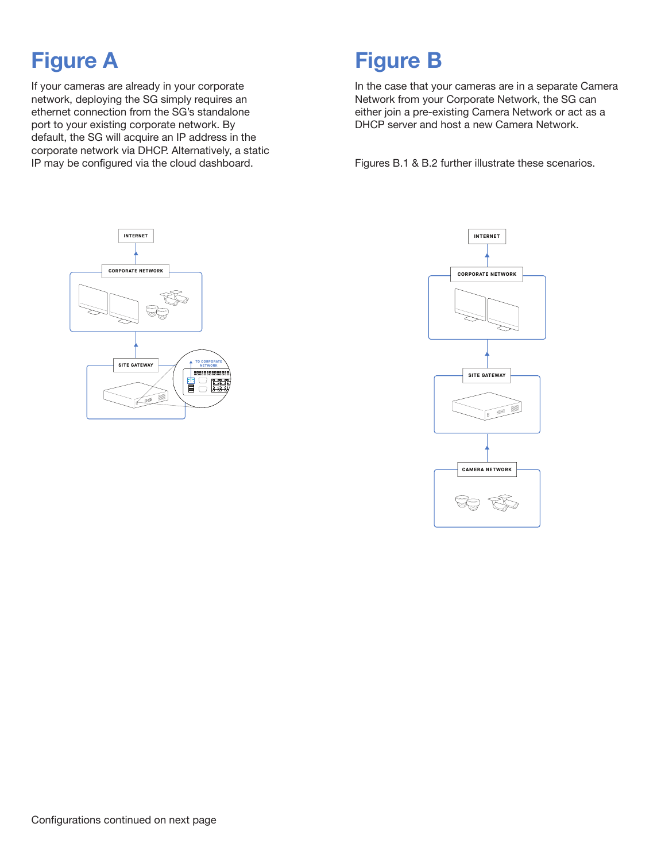### **Figure A**

If your cameras are already in your corporate network, deploying the SG simply requires an ethernet connection from the SG's standalone port to your existing corporate network. By default, the SG will acquire an IP address in the corporate network via DHCP. Alternatively, a static IP may be configured via the cloud dashboard.

### **Figure B**

In the case that your cameras are in a separate Camera Network from your Corporate Network, the SG can either join a pre-existing Camera Network or act as a DHCP server and host a new Camera Network.

Figures B.1 & B.2 further illustrate these scenarios.